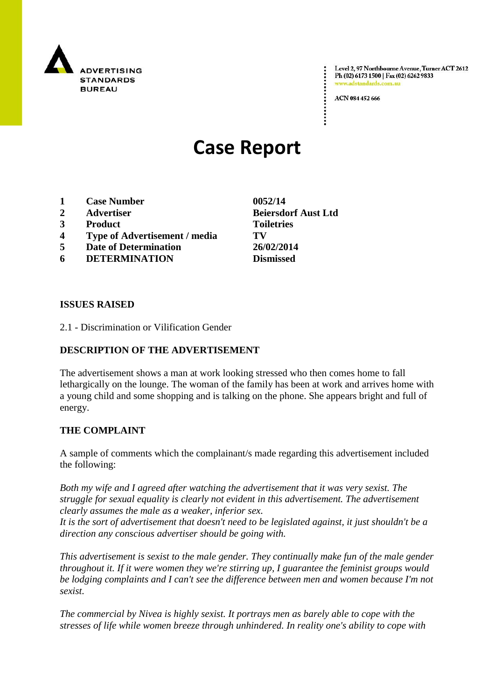

Level 2, 97 Northbourne Avenue, Turner ACT 2612 Ph (02) 6173 1500 | Fax (02) 6262 9833 .adstandards.c

ACN 084 452 666

# **Case Report**

- **1 Case Number 0052/14**
- 
- **3 Product Toiletries**
- **4 Type of Advertisement / media TV**
- **5 Date of Determination 26/02/2014**
- **6 DETERMINATION Dismissed**

**ISSUES RAISED**

2.1 - Discrimination or Vilification Gender

### **DESCRIPTION OF THE ADVERTISEMENT**

The advertisement shows a man at work looking stressed who then comes home to fall lethargically on the lounge. The woman of the family has been at work and arrives home with a young child and some shopping and is talking on the phone. She appears bright and full of energy.

#### **THE COMPLAINT**

A sample of comments which the complainant/s made regarding this advertisement included the following:

*Both my wife and I agreed after watching the advertisement that it was very sexist. The struggle for sexual equality is clearly not evident in this advertisement. The advertisement clearly assumes the male as a weaker, inferior sex.*

*It is the sort of advertisement that doesn't need to be legislated against, it just shouldn't be a direction any conscious advertiser should be going with.*

*This advertisement is sexist to the male gender. They continually make fun of the male gender throughout it. If it were women they we're stirring up, I guarantee the feminist groups would be lodging complaints and I can't see the difference between men and women because I'm not sexist.*

*The commercial by Nivea is highly sexist. It portrays men as barely able to cope with the stresses of life while women breeze through unhindered. In reality one's ability to cope with* 

**2 Advertiser Beiersdorf Aust Ltd**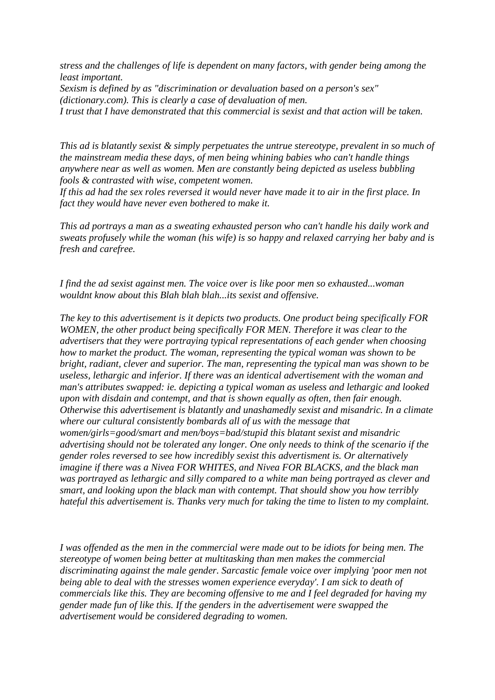*stress and the challenges of life is dependent on many factors, with gender being among the least important. Sexism is defined by as "discrimination or devaluation based on a person's sex"* 

*(dictionary.com). This is clearly a case of devaluation of men.*

*I trust that I have demonstrated that this commercial is sexist and that action will be taken.*

*This ad is blatantly sexist & simply perpetuates the untrue stereotype, prevalent in so much of the mainstream media these days, of men being whining babies who can't handle things anywhere near as well as women. Men are constantly being depicted as useless bubbling fools & contrasted with wise, competent women.*

*If this ad had the sex roles reversed it would never have made it to air in the first place. In fact they would have never even bothered to make it.*

*This ad portrays a man as a sweating exhausted person who can't handle his daily work and sweats profusely while the woman (his wife) is so happy and relaxed carrying her baby and is fresh and carefree.*

*I find the ad sexist against men. The voice over is like poor men so exhausted...woman wouldnt know about this Blah blah blah...its sexist and offensive.*

*The key to this advertisement is it depicts two products. One product being specifically FOR WOMEN, the other product being specifically FOR MEN. Therefore it was clear to the advertisers that they were portraying typical representations of each gender when choosing how to market the product. The woman, representing the typical woman was shown to be bright, radiant, clever and superior. The man, representing the typical man was shown to be useless, lethargic and inferior. If there was an identical advertisement with the woman and man's attributes swapped: ie. depicting a typical woman as useless and lethargic and looked upon with disdain and contempt, and that is shown equally as often, then fair enough. Otherwise this advertisement is blatantly and unashamedly sexist and misandric. In a climate where our cultural consistently bombards all of us with the message that women/girls=good/smart and men/boys=bad/stupid this blatant sexist and misandric advertising should not be tolerated any longer. One only needs to think of the scenario if the gender roles reversed to see how incredibly sexist this advertisment is. Or alternatively imagine if there was a Nivea FOR WHITES, and Nivea FOR BLACKS, and the black man was portrayed as lethargic and silly compared to a white man being portrayed as clever and smart, and looking upon the black man with contempt. That should show you how terribly hateful this advertisement is. Thanks very much for taking the time to listen to my complaint.*

*I was offended as the men in the commercial were made out to be idiots for being men. The stereotype of women being better at multitasking than men makes the commercial discriminating against the male gender. Sarcastic female voice over implying 'poor men not being able to deal with the stresses women experience everyday'. I am sick to death of commercials like this. They are becoming offensive to me and I feel degraded for having my gender made fun of like this. If the genders in the advertisement were swapped the advertisement would be considered degrading to women.*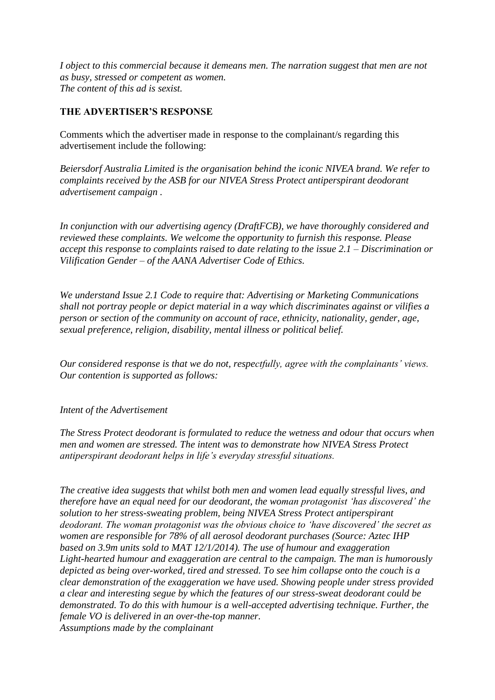*I object to this commercial because it demeans men. The narration suggest that men are not as busy, stressed or competent as women. The content of this ad is sexist.*

## **THE ADVERTISER'S RESPONSE**

Comments which the advertiser made in response to the complainant/s regarding this advertisement include the following:

*Beiersdorf Australia Limited is the organisation behind the iconic NIVEA brand. We refer to complaints received by the ASB for our NIVEA Stress Protect antiperspirant deodorant advertisement campaign .*

*In conjunction with our advertising agency (DraftFCB), we have thoroughly considered and reviewed these complaints. We welcome the opportunity to furnish this response. Please accept this response to complaints raised to date relating to the issue 2.1 – Discrimination or Vilification Gender – of the AANA Advertiser Code of Ethics.* 

*We understand Issue 2.1 Code to require that: Advertising or Marketing Communications shall not portray people or depict material in a way which discriminates against or vilifies a person or section of the community on account of race, ethnicity, nationality, gender, age, sexual preference, religion, disability, mental illness or political belief.* 

*Our considered response is that we do not, respectfully, agree with the complainants" views. Our contention is supported as follows:*

#### *Intent of the Advertisement*

*The Stress Protect deodorant is formulated to reduce the wetness and odour that occurs when men and women are stressed. The intent was to demonstrate how NIVEA Stress Protect antiperspirant deodorant helps in life"s everyday stressful situations.* 

*The creative idea suggests that whilst both men and women lead equally stressful lives, and therefore have an equal need for our deodorant, the woman protagonist "has discovered" the solution to her stress-sweating problem, being NIVEA Stress Protect antiperspirant deodorant. The woman protagonist was the obvious choice to "have discovered" the secret as women are responsible for 78% of all aerosol deodorant purchases (Source: Aztec IHP based on 3.9m units sold to MAT 12/1/2014). The use of humour and exaggeration Light-hearted humour and exaggeration are central to the campaign. The man is humorously depicted as being over-worked, tired and stressed. To see him collapse onto the couch is a clear demonstration of the exaggeration we have used. Showing people under stress provided a clear and interesting segue by which the features of our stress-sweat deodorant could be demonstrated. To do this with humour is a well-accepted advertising technique. Further, the female VO is delivered in an over-the-top manner. Assumptions made by the complainant*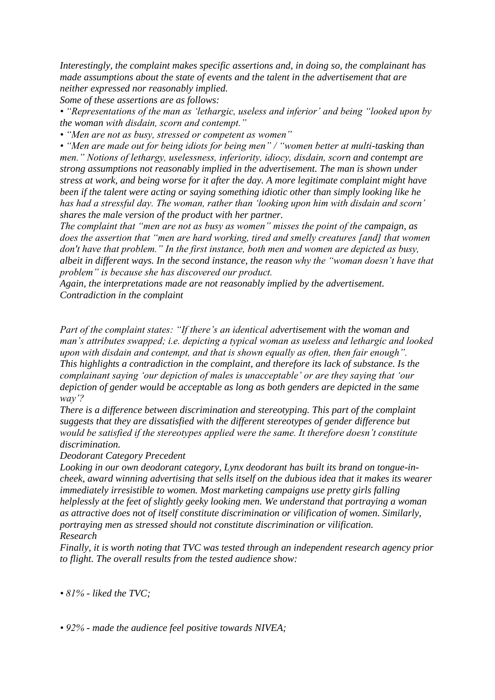*Interestingly, the complaint makes specific assertions and, in doing so, the complainant has made assumptions about the state of events and the talent in the advertisement that are neither expressed nor reasonably implied.*

*Some of these assertions are as follows:*

*• "Representations of the man as "lethargic, useless and inferior" and being "looked upon by the woman with disdain, scorn and contempt."*

*• "Men are not as busy, stressed or competent as women"*

*• "Men are made out for being idiots for being men" / "women better at multi-tasking than men." Notions of lethargy, uselessness, inferiority, idiocy, disdain, scorn and contempt are strong assumptions not reasonably implied in the advertisement. The man is shown under stress at work, and being worse for it after the day. A more legitimate complaint might have been if the talent were acting or saying something idiotic other than simply looking like he has had a stressful day. The woman, rather than "looking upon him with disdain and scorn" shares the male version of the product with her partner.*

*The complaint that "men are not as busy as women" misses the point of the campaign, as does the assertion that "men are hard working, tired and smelly creatures [and] that women don't have that problem." In the first instance, both men and women are depicted as busy, albeit in different ways. In the second instance, the reason why the "woman doesn"t have that problem" is because she has discovered our product.*

*Again, the interpretations made are not reasonably implied by the advertisement. Contradiction in the complaint* 

*Part of the complaint states: "If there's an identical advertisement with the woman and man"s attributes swapped; i.e. depicting a typical woman as useless and lethargic and looked upon with disdain and contempt, and that is shown equally as often, then fair enough". This highlights a contradiction in the complaint, and therefore its lack of substance. Is the complainant saying "our depiction of males is unacceptable" or are they saying that "our depiction of gender would be acceptable as long as both genders are depicted in the same way"?*

*There is a difference between discrimination and stereotyping. This part of the complaint suggests that they are dissatisfied with the different stereotypes of gender difference but would be satisfied if the stereotypes applied were the same. It therefore doesn"t constitute discrimination.*

*Deodorant Category Precedent*

*Looking in our own deodorant category, Lynx deodorant has built its brand on tongue-incheek, award winning advertising that sells itself on the dubious idea that it makes its wearer immediately irresistible to women. Most marketing campaigns use pretty girls falling helplessly at the feet of slightly geeky looking men. We understand that portraying a woman as attractive does not of itself constitute discrimination or vilification of women. Similarly, portraying men as stressed should not constitute discrimination or vilification. Research*

*Finally, it is worth noting that TVC was tested through an independent research agency prior to flight. The overall results from the tested audience show:* 

*• 81% - liked the TVC;*

*• 92% - made the audience feel positive towards NIVEA;*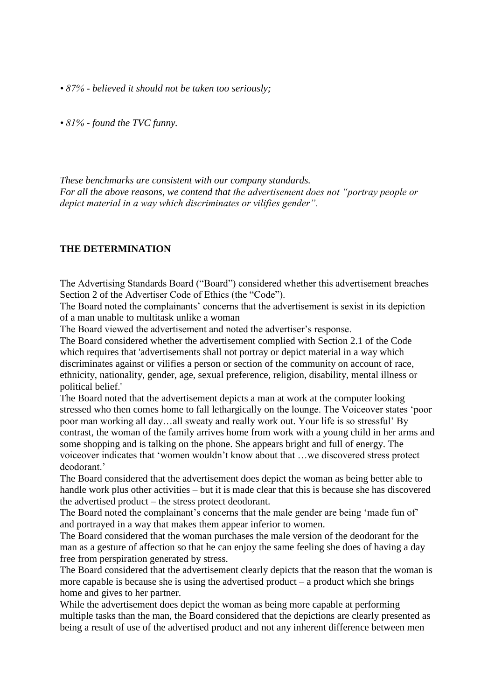*• 87% - believed it should not be taken too seriously;* 

*• 81% - found the TVC funny.* 

*These benchmarks are consistent with our company standards. For all the above reasons, we contend that the advertisement does not "portray people or depict material in a way which discriminates or vilifies gender".*

#### **THE DETERMINATION**

The Advertising Standards Board ("Board") considered whether this advertisement breaches Section 2 of the Advertiser Code of Ethics (the "Code").

The Board noted the complainants' concerns that the advertisement is sexist in its depiction of a man unable to multitask unlike a woman

The Board viewed the advertisement and noted the advertiser's response.

The Board considered whether the advertisement complied with Section 2.1 of the Code which requires that 'advertisements shall not portray or depict material in a way which discriminates against or vilifies a person or section of the community on account of race, ethnicity, nationality, gender, age, sexual preference, religion, disability, mental illness or political belief.'

The Board noted that the advertisement depicts a man at work at the computer looking stressed who then comes home to fall lethargically on the lounge. The Voiceover states "poor poor man working all day…all sweaty and really work out. Your life is so stressful" By contrast, the woman of the family arrives home from work with a young child in her arms and some shopping and is talking on the phone. She appears bright and full of energy. The voiceover indicates that "women wouldn"t know about that …we discovered stress protect deodorant<sup>'</sup>

The Board considered that the advertisement does depict the woman as being better able to handle work plus other activities – but it is made clear that this is because she has discovered the advertised product – the stress protect deodorant.

The Board noted the complainant's concerns that the male gender are being 'made fun of' and portrayed in a way that makes them appear inferior to women.

The Board considered that the woman purchases the male version of the deodorant for the man as a gesture of affection so that he can enjoy the same feeling she does of having a day free from perspiration generated by stress.

The Board considered that the advertisement clearly depicts that the reason that the woman is more capable is because she is using the advertised product – a product which she brings home and gives to her partner.

While the advertisement does depict the woman as being more capable at performing multiple tasks than the man, the Board considered that the depictions are clearly presented as being a result of use of the advertised product and not any inherent difference between men